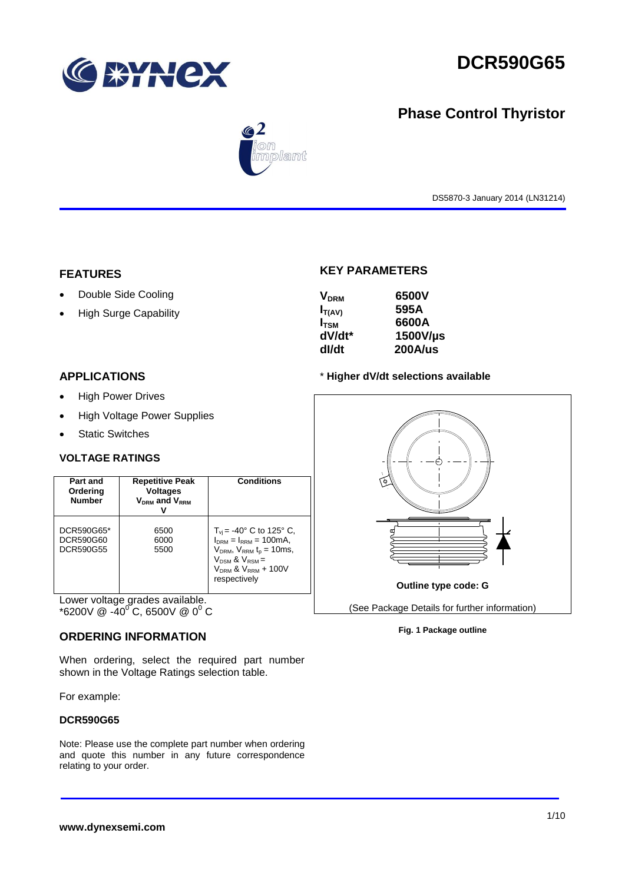

# **DCR590G65**

## **Phase Control Thyristor**



DS5870-3 January 2014 (LN31214)

#### **FEATURES**

- Double Side Cooling
- High Surge Capability

## **KEY PARAMETERS**

| <b>V<sub>DRM</sub></b> | 6500V          |
|------------------------|----------------|
| $I_{T(AV)}$            | 595A           |
| $I_{TSM}$              | 6600A          |
| dV/dt*                 | 1500V/µs       |
| dl/dt                  | <b>200A/us</b> |

#### **APPLICATIONS**

- High Power Drives
- High Voltage Power Supplies
- Static Switches

#### **VOLTAGE RATINGS**

| Part and<br>Ordering<br><b>Number</b> | <b>Repetitive Peak</b><br><b>Voltages</b><br>$V_{DRM}$ and $V_{RRM}$ | <b>Conditions</b>                                                                                                                                                                       |
|---------------------------------------|----------------------------------------------------------------------|-----------------------------------------------------------------------------------------------------------------------------------------------------------------------------------------|
| DCR590G65*<br>DCR590G60<br>DCR590G55  | 6500<br>6000<br>5500                                                 | $T_{vi}$ = -40° C to 125° C,<br>$I_{DRM} = I_{RRM} = 100 \text{mA}$<br>$V_{DRM}$ , $V_{RRM}$ $t_{p}$ = 10ms,<br>$V_{DSM}$ & $V_{RSM}$ =<br>$V_{DRM}$ & $V_{RRM}$ + 100V<br>respectively |

Lower voltage grades available.  $*$ 6200V @ -40<sup>o</sup> C, 6500V @ 0<sup>0</sup> C

#### **ORDERING INFORMATION**

When ordering, select the required part number shown in the Voltage Ratings selection table.

For example:

#### **DCR590G65**

Note: Please use the complete part number when ordering and quote this number in any future correspondence relating to your order.

#### \* **Higher dV/dt selections available**



#### **Fig. 1 Package outline**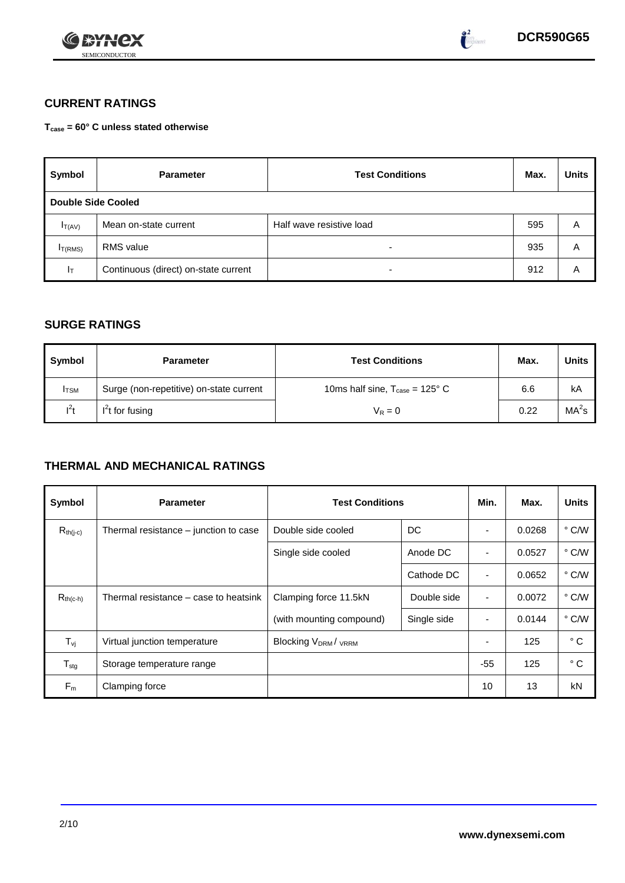



### **CURRENT RATINGS**

**Tcase = 60° C unless stated otherwise**

| Symbol                    | <b>Parameter</b>                     | <b>Test Conditions</b>   |     |   |  |  |
|---------------------------|--------------------------------------|--------------------------|-----|---|--|--|
| <b>Double Side Cooled</b> |                                      |                          |     |   |  |  |
| $I_{T(AV)}$               | Mean on-state current                | Half wave resistive load | 595 | Α |  |  |
| I <sub>T(RMS)</sub>       | RMS value                            | -                        | 935 | Α |  |  |
| Iт                        | Continuous (direct) on-state current |                          | 912 | Α |  |  |

#### **SURGE RATINGS**

| Symbol       | <b>Parameter</b>                        | <b>Test Conditions</b>                            | Max. | <b>Units</b>      |
|--------------|-----------------------------------------|---------------------------------------------------|------|-------------------|
| <b>I</b> TSM | Surge (non-repetitive) on-state current | 10ms half sine, $T_{\text{case}} = 125^{\circ}$ C | 6.6  | kA                |
| $l^2t$       | $I2t$ for fusing                        | $V_R = 0$                                         | 0.22 | MA <sup>2</sup> s |

## **THERMAL AND MECHANICAL RATINGS**

| Symbol                         | <b>Parameter</b>                      | <b>Test Conditions</b>                  | Min.       | Max.                     | <b>Units</b> |               |
|--------------------------------|---------------------------------------|-----------------------------------------|------------|--------------------------|--------------|---------------|
| $R_{th(j-c)}$                  | Thermal resistance – junction to case | DC<br>Double side cooled                |            |                          | 0.0268       | $\degree$ C/W |
|                                |                                       | Single side cooled                      | Anode DC   |                          | 0.0527       | $\degree$ C/W |
|                                |                                       |                                         | Cathode DC | $\blacksquare$           | 0.0652       | $\degree$ C/W |
| $R_{th(c-h)}$                  | Thermal resistance – case to heatsink | Clamping force 11.5kN<br>Double side    |            | ٠                        | 0.0072       | $\degree$ C/W |
|                                |                                       | (with mounting compound)<br>Single side |            | $\overline{\phantom{0}}$ | 0.0144       | $\degree$ C/W |
| $T_{\rm\scriptscriptstyle VI}$ | Virtual junction temperature          | <b>Blocking VDRM/VRRM</b>               |            |                          | 125          | $^{\circ}$ C  |
| $T_{\text{stg}}$               | Storage temperature range             |                                         |            | $-55$                    | 125          | $^{\circ}$ C  |
| $F_m$                          | Clamping force                        |                                         |            | 10                       | 13           | kN            |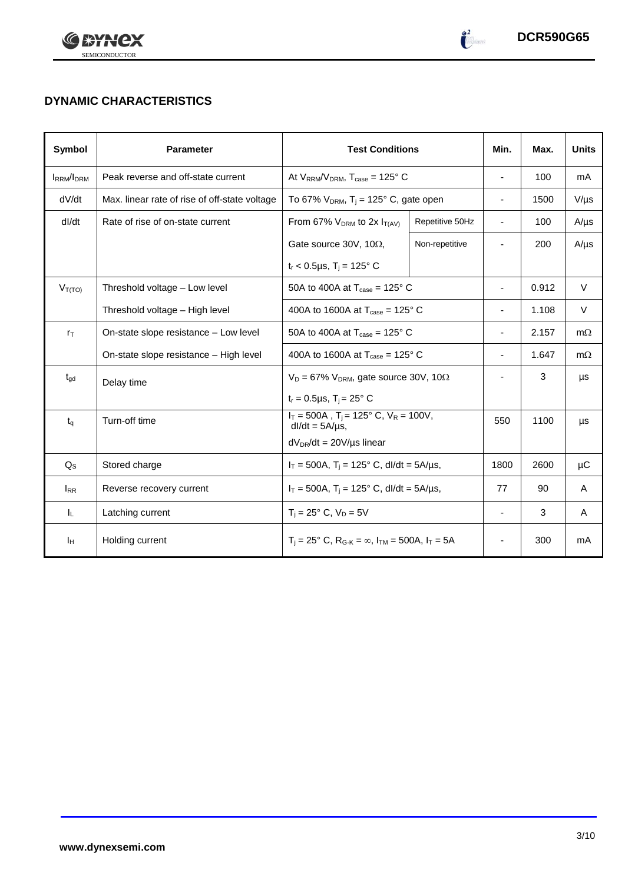



 $\begin{pmatrix} 2 \\ -1 \end{pmatrix}$ 

## **DYNAMIC CHARACTERISTICS**

| Symbol           | <b>Parameter</b>                              | <b>Test Conditions</b>                                                                        | Min.            | Max.           | <b>Units</b> |           |
|------------------|-----------------------------------------------|-----------------------------------------------------------------------------------------------|-----------------|----------------|--------------|-----------|
| <b>IRRM/IDRM</b> | Peak reverse and off-state current            | At $V_{RRM}/V_{DRM}$ , $T_{case} = 125^{\circ}$ C                                             | $\blacksquare$  | 100            | mA           |           |
| dV/dt            | Max. linear rate of rise of off-state voltage | To 67% $V_{DRM}$ , T <sub>i</sub> = 125° C, gate open                                         |                 | ÷,             | 1500         | $V/\mu s$ |
| dl/dt            | Rate of rise of on-state current              | From 67% $V_{DRM}$ to 2x $I_{T(AV)}$                                                          | Repetitive 50Hz | $\blacksquare$ | 100          | $A/\mu s$ |
|                  |                                               | Gate source 30V, 10 $\Omega$ ,                                                                | Non-repetitive  |                | 200          | $A/\mu s$ |
|                  |                                               | $t_r$ < 0.5µs, T <sub>i</sub> = 125° C                                                        |                 |                |              |           |
| $V_{T(TO)}$      | Threshold voltage - Low level                 | 50A to 400A at $T_{\text{case}} = 125^{\circ}$ C                                              |                 | $\blacksquare$ | 0.912        | $\vee$    |
|                  | Threshold voltage - High level                | 400A to 1600A at $T_{\text{case}} = 125^{\circ}$ C                                            |                 | 1.108          | $\vee$       |           |
| $r_{\text{T}}$   | On-state slope resistance - Low level         | 50A to 400A at $T_{\text{case}} = 125^{\circ}$ C                                              |                 |                | 2.157        | $m\Omega$ |
|                  | On-state slope resistance - High level        | 400A to 1600A at $T_{\text{case}} = 125^{\circ}$ C                                            |                 |                | 1.647        | $m\Omega$ |
| $t_{gd}$         | Delay time                                    | $V_D = 67\%$ V <sub>DRM</sub> , gate source 30V, 10 $\Omega$                                  |                 |                | 3            | μs        |
|                  |                                               | $t_r = 0.5 \mu s$ , $T_i = 25^\circ C$                                                        |                 |                |              |           |
| $t_q$            | Turn-off time                                 | $I_T = 500A$ , $T_i = 125^\circ C$ , $V_R = 100V$ ,<br>$dl/dt = 5A/\mu s$ ,                   |                 | 550            | 1100         | μs        |
|                  |                                               | $dV_{DR}/dt = 20V/\mu s$ linear                                                               |                 |                |              |           |
| $Q_{\rm S}$      | Stored charge                                 | $I_T = 500A$ , $T_i = 125^\circ$ C, dl/dt = 5A/µs,                                            |                 | 1800           | 2600         | μC        |
| $I_{RR}$         | Reverse recovery current                      | $I_T = 500A$ , $T_i = 125^\circ$ C, dl/dt = 5A/µs,                                            | 77              | 90             | A            |           |
| ΙL.              | Latching current                              | $T_i = 25^\circ$ C, $V_D = 5V$                                                                |                 |                | 3            | A         |
| Īн               | Holding current                               | $T_i = 25^\circ$ C, R <sub>G-K</sub> = $\infty$ , I <sub>TM</sub> = 500A, I <sub>T</sub> = 5A |                 |                | 300          | mA        |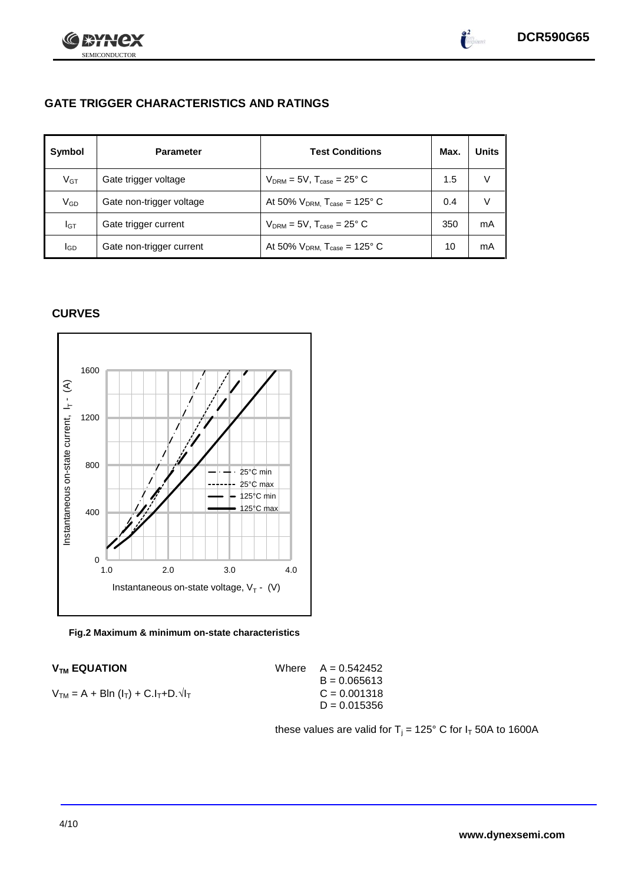

 $\int_{0}^{2}$ 

## **GATE TRIGGER CHARACTERISTICS AND RATINGS**

| Symbol          | <b>Parameter</b>         | <b>Test Conditions</b>                        | Max. | <b>Units</b> |
|-----------------|--------------------------|-----------------------------------------------|------|--------------|
| V <sub>GT</sub> | Gate trigger voltage     | $V_{DRM}$ = 5V, $T_{case}$ = 25° C            | 1.5  | v            |
| V <sub>GD</sub> | Gate non-trigger voltage | At 50% $V_{DRM}$ , $T_{case} = 125^{\circ}$ C | 0.4  | V            |
| Iст             | Gate trigger current     | $V_{DRM}$ = 5V, $T_{case}$ = 25° C            | 350  | mA           |
| lgp             | Gate non-trigger current | At 50% $V_{DRM}$ , $T_{case}$ = 125° C        | 10   | mA           |

#### **CURVES**



**Fig.2 Maximum & minimum on-state characteristics**

| <b>V<sub>TM</sub> EQUATION</b>                  | Where $A = 0.542452$ |
|-------------------------------------------------|----------------------|
|                                                 | $B = 0.065613$       |
| $V_{TM} = A + Bln (I_T) + C.I_T + D.\sqrt{I_T}$ | $C = 0.001318$       |
|                                                 | $D = 0.015356$       |
|                                                 |                      |

these values are valid for  $T_i = 125^\circ$  C for  $I_T$  50A to 1600A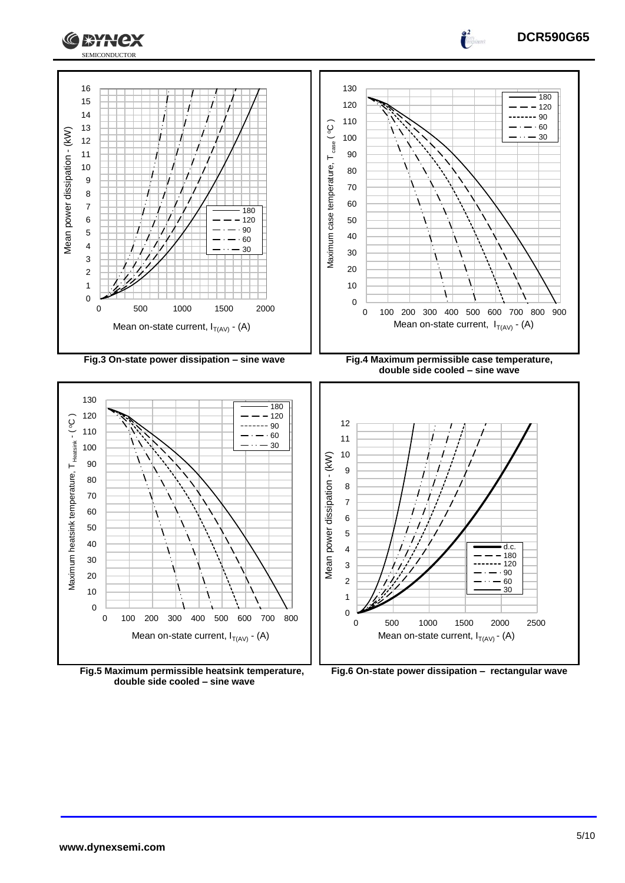



**Fig.5 Maximum permissible heatsink temperature, double side cooled – sine wave**



**DCR590G65**

 $\frac{2}{1}$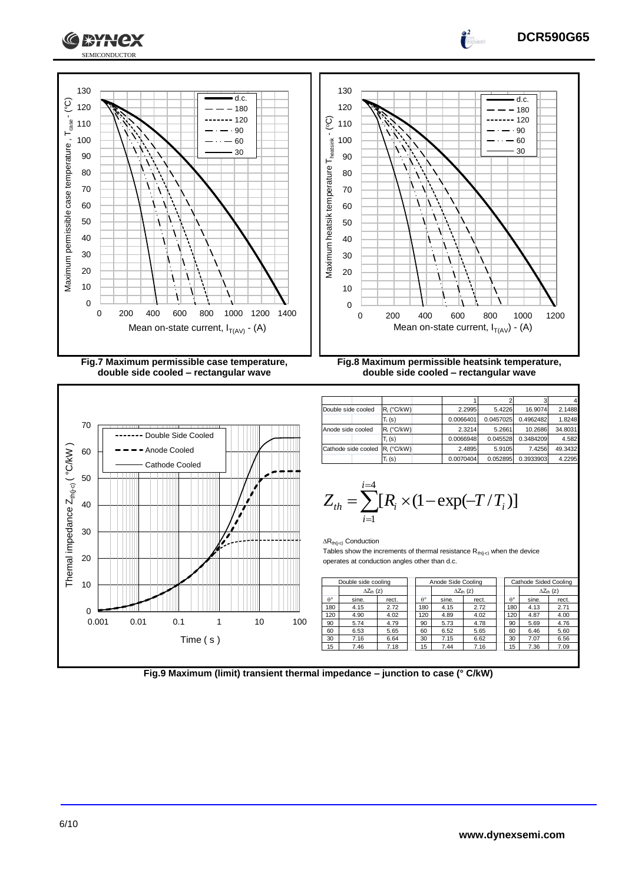

**Fig.7 Maximum permissible case temperature, double side cooled – rectangular wave**

72X



**Fig.8 Maximum permissible heatsink temperature, double side cooled – rectangular wave**

|                     |                    |           |           | ာ         |         |
|---------------------|--------------------|-----------|-----------|-----------|---------|
| Double side cooled  | $R_i$ (°C/kW)      | 2.2995    | 5.4226    | 16.9074   | 2.1488  |
|                     | $T_i$ (s)          | 0.0066401 | 0.0457025 | 0.4962482 | 1.8248  |
| Anode side cooled   | $R_i$ (°C/kW)      | 2.3214    | 5.2661    | 10.2686   | 34.8031 |
|                     | $T_i(s)$           | 0.0066948 | 0.045528  | 0.3484209 | 4.582   |
| Cathode side cooled | $R_i$ ( $C/kW$ )   | 2.4895    | 5.9105    | 7.4256    | 49.3432 |
|                     | T <sub>i</sub> (s) | 0.0070404 | 0.052895  | 0.3933903 | 4.2295  |

$$
Z_{th} = \sum_{i=1}^{i=4} [R_i \times (1 - \exp(-T/T_i))]
$$

 $\Delta R_{th(i-c)}$  Conduction

Tables show the increments of thermal resistance  $R_{th(j-c)}$  when the device operates at conduction angles other than d.c.

|                  | Double side cooling        |       |  | Anode Side Cooling |       |                            |     | Cathode Sided Cooling |                            |
|------------------|----------------------------|-------|--|--------------------|-------|----------------------------|-----|-----------------------|----------------------------|
|                  | $\Delta Z_{\text{th}}$ (z) |       |  |                    |       | $\Delta Z_{\text{th}}$ (z) |     |                       | $\Delta Z_{\text{th}}$ (z) |
| $\theta^{\circ}$ | sine.                      | rect. |  | A°                 | sine. | rect.                      | A°  | sine.                 | rect.                      |
| 180              | 4.15                       | 2.72  |  | 180                | 4.15  | 2.72                       | 180 | 4.13                  | 2.71                       |
| 120              | 4.90                       | 4.02  |  | 120                | 4.89  | 4.02                       | 120 | 4.87                  | 4.00                       |
| 90               | 5.74                       | 4.79  |  | 90                 | 5.73  | 4.78                       | 90  | 5.69                  | 4.76                       |
| 60               | 6.53                       | 5.65  |  | 60                 | 6.52  | 5.65                       | 60  | 6.46                  | 5.60                       |
| 30               | 7.16                       | 6.64  |  | 30                 | 7.15  | 6.62                       | 30  | 7.07                  | 6.56                       |
| 15               | 7.46                       | 7.18  |  | 15                 | 7.44  | 7.16                       | 15  | 7.36                  | 7.09                       |
|                  |                            |       |  |                    |       |                            |     |                       |                            |

**Fig.9 Maximum (limit) transient thermal impedance – junction to case (° C/kW)**

#### **DCR590G65**

d.c.  $-180$  $-120$  $.90$  $-60$ 30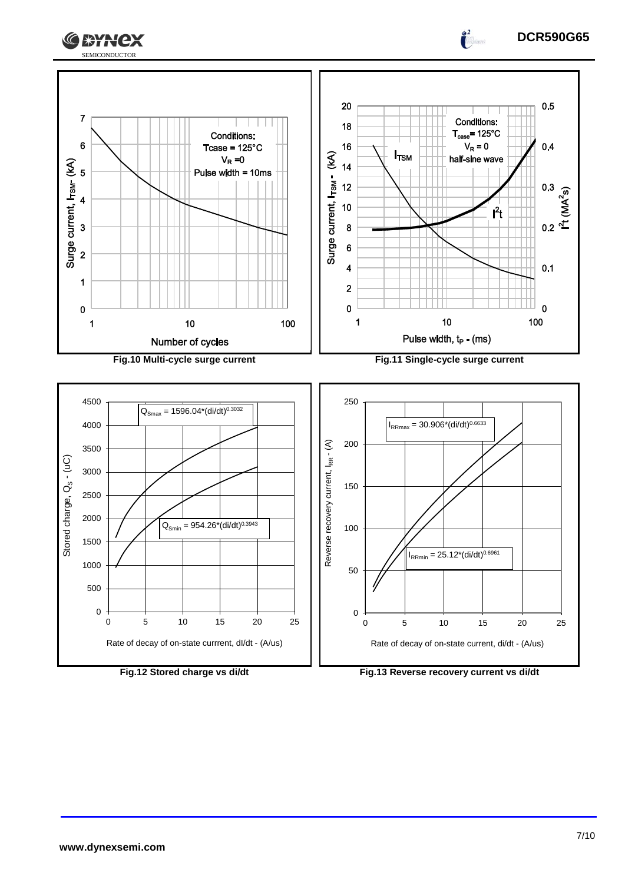



 $\frac{2}{\pi}$ 



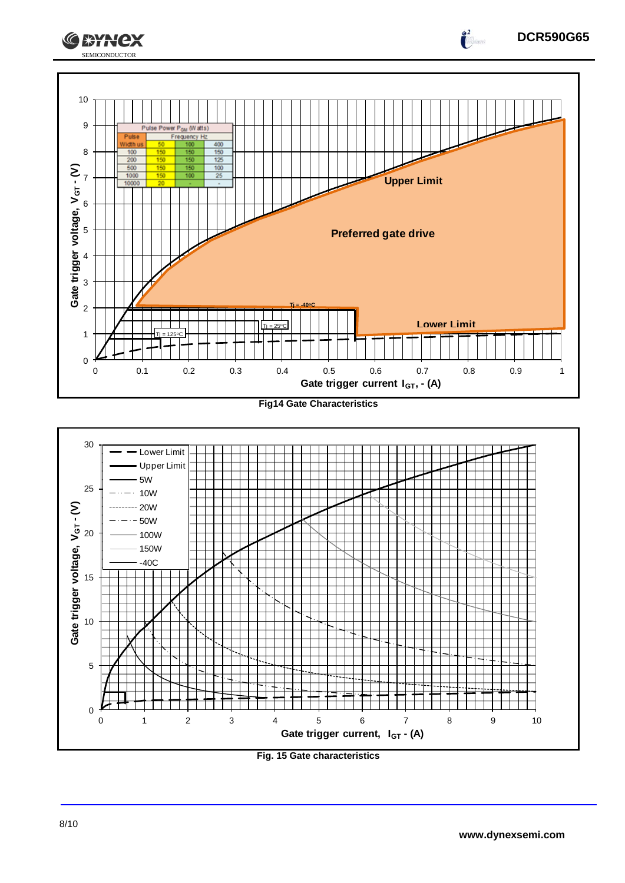



**Fig. 15 Gate characteristics**

**DCR590G65**

 $\frac{2}{\sqrt{2}}$ 

**CEYNEX**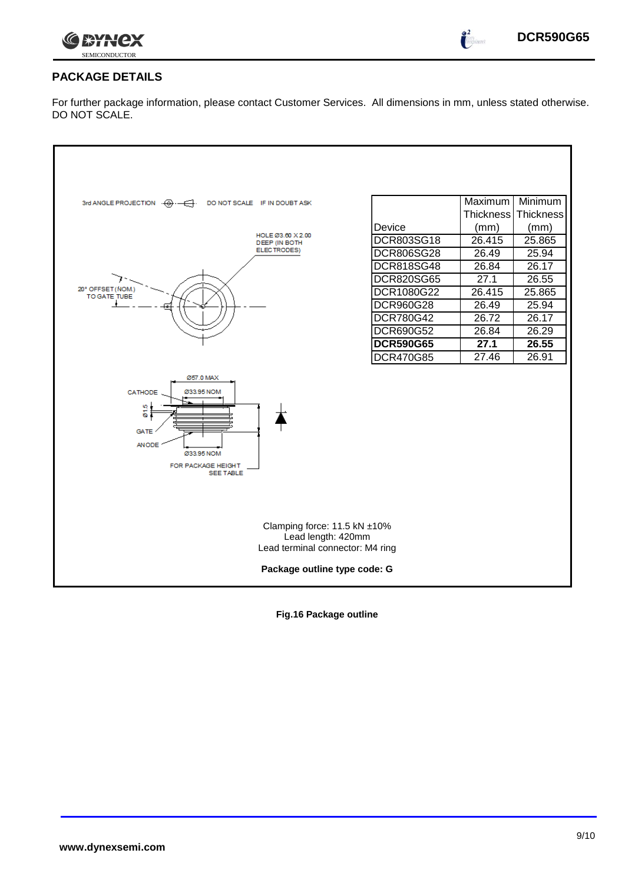

 $\int_{0}^{\infty}$ 

## **PACKAGE DETAILS**

For further package information, please contact Customer Services. All dimensions in mm, unless stated otherwise. DO NOT SCALE.

| DO NOT SCALE IF IN DOUBT ASK<br>3rd ANGLE PROJECTION $\cdot \overline{\bigoplus} \cdot - \overline{\bigoplus} \cdot$<br>HOLE Ø3.60 X 2.00<br>DEEP (IN BOTH<br>ELECTRODES)<br>20° OFFSET (NOM.)<br>TO GATE TUBE | Device<br>DCR803SG18<br><b>DCR806SG28</b><br><b>DCR818SG48</b><br><b>DCR820SG65</b><br>DCR1080G22<br>DCR960G28<br>DCR780G42<br><b>DCR690G52</b> | Maximum<br><b>Thickness</b><br>(mm)<br>26.415<br>26.49<br>26.84<br>27.1<br>26.415<br>26.49<br>26.72<br>26.84 | Minimum<br><b>Thickness</b><br>(mm)<br>25.865<br>25.94<br>26.17<br>26.55<br>25.865<br>25.94<br>26.17<br>26.29 |
|----------------------------------------------------------------------------------------------------------------------------------------------------------------------------------------------------------------|-------------------------------------------------------------------------------------------------------------------------------------------------|--------------------------------------------------------------------------------------------------------------|---------------------------------------------------------------------------------------------------------------|
|                                                                                                                                                                                                                | <b>DCR590G65</b>                                                                                                                                | 27.1                                                                                                         | 26.55                                                                                                         |
|                                                                                                                                                                                                                | <b>DCR470G85</b>                                                                                                                                | 27.46                                                                                                        | 26.91                                                                                                         |
| Ø57.0 MAX<br>Ø33.95 NOM<br>CATHODE<br>015<br><b>GATE</b><br><b>ANODE</b><br>Ø33.95 NOM<br>FOR PACKAGE HEIGHT<br><b>SEE TABLE</b>                                                                               |                                                                                                                                                 |                                                                                                              |                                                                                                               |
| Clamping force: 11.5 kN ±10%<br>Lead length: 420mm<br>Lead terminal connector: M4 ring                                                                                                                         |                                                                                                                                                 |                                                                                                              |                                                                                                               |
| Package outline type code: G                                                                                                                                                                                   |                                                                                                                                                 |                                                                                                              |                                                                                                               |

**Fig.16 Package outline**